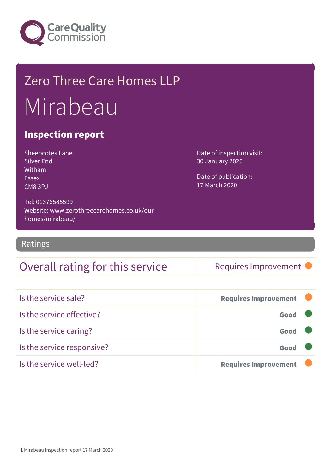

## Zero Three Care Homes LLP Mirabeau

#### Inspection report

| Sheepcotes Lane   |
|-------------------|
| <b>Silver End</b> |
| Witham            |
| <b>Essex</b>      |
| CM8 3PJ           |

homes/mirabeau/

Tel: 01376585599

Website: www.zerothreecarehomes.co.uk/our-

Date of inspection visit: 30 January 2020

Date of publication: 17 March 2020

Ratings

### Overall rating for this service Requires Improvement

| Is the service safe?       | <b>Requires Improvement</b> |  |
|----------------------------|-----------------------------|--|
| Is the service effective?  | Good                        |  |
| Is the service caring?     | Good                        |  |
| Is the service responsive? | Good                        |  |
| Is the service well-led?   | <b>Requires Improvement</b> |  |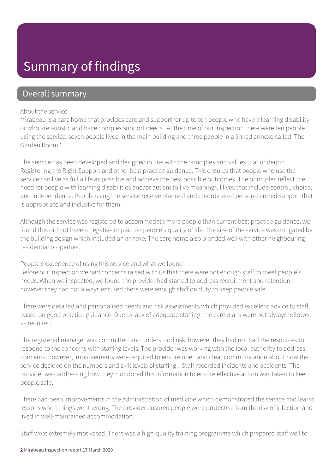### Summary of findings

#### Overall summary

#### About the service

Mirabeau is a care home that provides care and support for up to ten people who have a learning disability or who are autistic and have complex support needs. At the time of our inspection there were ten people using the service, seven people lived in the main building and three people in a linked annexe called 'The Garden Room.'

The service has been developed and designed in line with the principles and values that underpin Registering the Right Support and other best practice guidance. This ensures that people who use the service can live as full a life as possible and achieve the best possible outcomes. The principles reflect the need for people with learning disabilities and/or autism to live meaningful lives that include control, choice, and independence. People using the service receive planned and co-ordinated person-centred support that is appropriate and inclusive for them.

Although the service was registered to accommodate more people than current best practice guidance, we found this did not have a negative impact on people's quality of life. The size of the service was mitigated by the building design which included an annexe. The care home also blended well with other neighbouring residential properties.

People's experience of using this service and what we found

Before our inspection we had concerns raised with us that there were not enough staff to meet people's needs. When we inspected, we found the provider had started to address recruitment and retention, however they had not always ensured there were enough staff on duty to keep people safe.

There were detailed and personalised needs and risk assessments which provided excellent advice to staff, based on good practice guidance. Due to lack of adequate staffing, the care plans were not always followed as required.

The registered manager was committed and understood risk, however they had not had the resources to respond to the concerns with staffing levels. The provider was working with the local authority to address concerns; however, improvements were required to ensure open and clear communication about how the service decided on the numbers and skill levels of staffing . Staff recorded incidents and accidents. The provider was addressing how they monitored this information to ensure effective action was taken to keep people safe.

There had been improvements in the administration of medicine which demonstrated the service had learnt lessons when things went wrong. The provider ensured people were protected from the risk of infection and lived in well-maintained accommodation.

Staff were extremely motivated. There was a high-quality training programme which prepared staff well to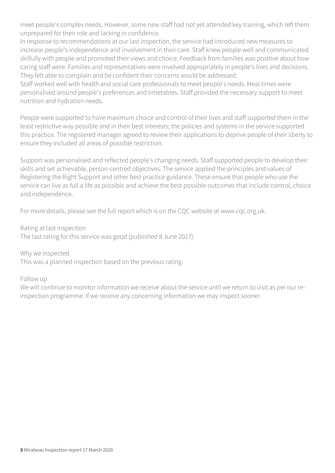meet people's complex needs. However, some new staff had not yet attended key training, which left them unprepared for their role and lacking in confidence.

In response to recommendations at our last inspection, the service had introduced new measures to increase people's independence and involvement in their care. Staff knew people well and communicated skilfully with people and promoted their views and choice. Feedback from families was positive about how caring staff were. Families and representatives were involved appropriately in people's lives and decisions. They felt able to complain and be confident their concerns would be addressed.

Staff worked well with health and social care professionals to meet people's needs. Meal times were personalised around people's preferences and timetables. Staff provided the necessary support to meet nutrition and hydration needs.

People were supported to have maximum choice and control of their lives and staff supported them in the least restrictive way possible and in their best interests; the policies and systems in the service supported this practice. The registered manager agreed to review their applications to deprive people of their liberty to ensure they included all areas of possible restriction.

Support was personalised and reflected people's changing needs. Staff supported people to develop their skills and set achievable, person-centred objectives. The service applied the principles and values of Registering the Right Support and other best practice guidance. These ensure that people who use the service can live as full a life as possible and achieve the best possible outcomes that include control, choice and independence.

For more details, please see the full report which is on the CQC website at www.cqc.org.uk.

Rating at last inspection

The last rating for this service was good (published 8 June 2017).

Why we inspected

This was a planned inspection based on the previous rating.

Follow up

We will continue to monitor information we receive about the service until we return to visit as per our reinspection programme. If we receive any concerning information we may inspect sooner.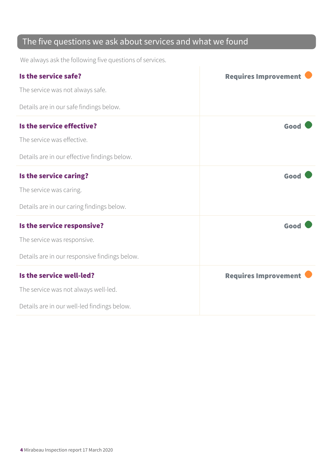### The five questions we ask about services and what we found

We always ask the following five questions of services.

| Is the service safe?                          | <b>Requires Improvement</b> |
|-----------------------------------------------|-----------------------------|
| The service was not always safe.              |                             |
| Details are in our safe findings below.       |                             |
| Is the service effective?                     | Good                        |
| The service was effective.                    |                             |
| Details are in our effective findings below.  |                             |
| Is the service caring?                        | Good                        |
| The service was caring.                       |                             |
| Details are in our caring findings below.     |                             |
| Is the service responsive?                    | Good                        |
| The service was responsive.                   |                             |
| Details are in our responsive findings below. |                             |
| Is the service well-led?                      | <b>Requires Improvement</b> |
| The service was not always well-led.          |                             |
| Details are in our well-led findings below.   |                             |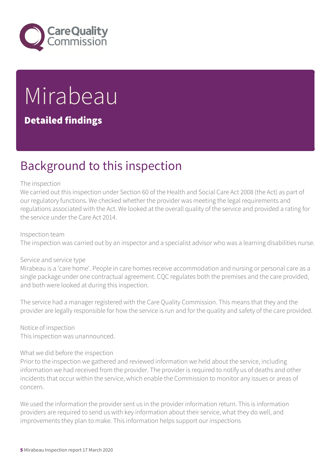

# Mirabeau

#### Detailed findings

### Background to this inspection

#### The inspection

We carried out this inspection under Section 60 of the Health and Social Care Act 2008 (the Act) as part of our regulatory functions. We checked whether the provider was meeting the legal requirements and regulations associated with the Act. We looked at the overall quality of the service and provided a rating for the service under the Care Act 2014.

#### Inspection team

The inspection was carried out by an inspector and a specialist advisor who was a learning disabilities nurse.

#### Service and service type

Mirabeau is a 'care home'. People in care homes receive accommodation and nursing or personal care as a single package under one contractual agreement. CQC regulates both the premises and the care provided, and both were looked at during this inspection.

The service had a manager registered with the Care Quality Commission. This means that they and the provider are legally responsible for how the service is run and for the quality and safety of the care provided.

Notice of inspection This inspection was unannounced.

#### What we did before the inspection

Prior to the inspection we gathered and reviewed information we held about the service, including information we had received from the provider. The provider is required to notify us of deaths and other incidents that occur within the service, which enable the Commission to monitor any issues or areas of concern.

We used the information the provider sent us in the provider information return. This is information providers are required to send us with key information about their service, what they do well, and improvements they plan to make. This information helps support our inspections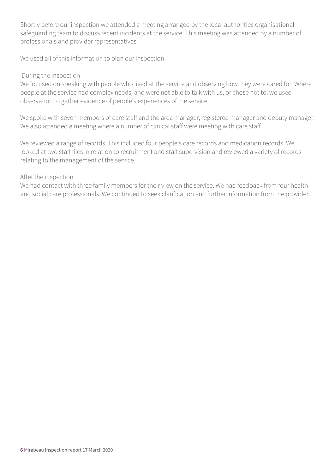Shortly before our inspection we attended a meeting arranged by the local authorities organisational safeguarding team to discuss recent incidents at the service. This meeting was attended by a number of professionals and provider representatives.

We used all of this information to plan our inspection.

#### During the inspection

We focused on speaking with people who lived at the service and observing how they were cared for. Where people at the service had complex needs, and were not able to talk with us, or chose not to, we used observation to gather evidence of people's experiences of the service.

We spoke with seven members of care staff and the area manager, registered manager and deputy manager. We also attended a meeting where a number of clinical staff were meeting with care staff.

We reviewed a range of records. This included four people's care records and medication records. We looked at two staff files in relation to recruitment and staff supervision and reviewed a variety of records relating to the management of the service.

#### After the inspection

We had contact with three family members for their view on the service. We had feedback from four health and social care professionals. We continued to seek clarification and further information from the provider.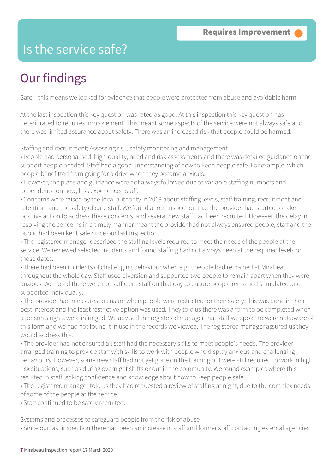### Is the service safe?

### Our findings

Safe – this means we looked for evidence that people were protected from abuse and avoidable harm.

At the last inspection this key question was rated as good. At this inspection this key question has deteriorated to requires improvement. This meant some aspects of the service were not always safe and there was limited assurance about safety. There was an increased risk that people could be harmed.

Staffing and recruitment; Assessing risk, safety monitoring and management

• People had personalised, high-quality, need and risk assessments and there was detailed guidance on the support people needed. Staff had a good understanding of how to keep people safe. For example, which people benefitted from going for a drive when they became anxious.

• However, the plans and guidance were not always followed due to variable staffing numbers and dependence on new, less experienced staff.

• Concerns were raised by the local authority in 2019 about staffing levels, staff training, recruitment and retention, and the safety of care staff. We found at our inspection that the provider had started to take positive action to address these concerns, and several new staff had been recruited. However, the delay in resolving the concerns in a timely manner meant the provider had not always ensured people, staff and the public had been kept safe since our last inspection.

• The registered manager described the staffing levels required to meet the needs of the people at the service. We reviewed selected incidents and found staffing had not always been at the required levels on those dates.

• There had been incidents of challenging behaviour when eight people had remained at Mirabeau throughout the whole day. Staff used diversion and supported two people to remain apart when they were anxious. We noted there were not sufficient staff on that day to ensure people remained stimulated and supported individually.

• The provider had measures to ensure when people were restricted for their safety, this was done in their best interest and the least restrictive option was used. They told us there was a form to be completed when a person's rights were infringed. We advised the registered manager that staff we spoke to were not aware of this form and we had not found it in use in the records we viewed. The registered manager assured us they would address this.

• The provider had not ensured all staff had the necessary skills to meet people's needs. The provider arranged training to provide staff with skills to work with people who display anxious and challenging behaviours. However, some new staff had not yet gone on the training but were still required to work in high risk situations, such as during overnight shifts or out in the community. We found examples where this resulted in staff lacking confidence and knowledge about how to keep people safe.

• The registered manager told us they had requested a review of staffing at night, due to the complex needs of some of the people at the service.

• Staff continued to be safely recruited.

Systems and processes to safeguard people from the risk of abuse

• Since our last inspection there had been an increase in staff and former staff contacting external agencies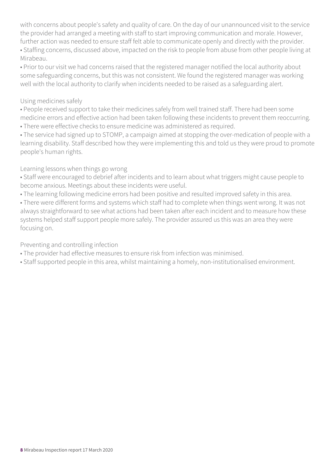with concerns about people's safety and quality of care. On the day of our unannounced visit to the service the provider had arranged a meeting with staff to start improving communication and morale. However, further action was needed to ensure staff felt able to communicate openly and directly with the provider. • Staffing concerns, discussed above, impacted on the risk to people from abuse from other people living at

Mirabeau.

• Prior to our visit we had concerns raised that the registered manager notified the local authority about some safeguarding concerns, but this was not consistent. We found the registered manager was working well with the local authority to clarify when incidents needed to be raised as a safeguarding alert.

#### Using medicines safely

• People received support to take their medicines safely from well trained staff. There had been some medicine errors and effective action had been taken following these incidents to prevent them reoccurring. • There were effective checks to ensure medicine was administered as required.

• The service had signed up to STOMP, a campaign aimed at stopping the over-medication of people with a learning disability. Staff described how they were implementing this and told us they were proud to promote people's human rights.

#### Learning lessons when things go wrong

• Staff were encouraged to debrief after incidents and to learn about what triggers might cause people to become anxious. Meetings about these incidents were useful.

• The learning following medicine errors had been positive and resulted improved safety in this area.

• There were different forms and systems which staff had to complete when things went wrong. It was not always straightforward to see what actions had been taken after each incident and to measure how these systems helped staff support people more safely. The provider assured us this was an area they were focusing on.

Preventing and controlling infection

- The provider had effective measures to ensure risk from infection was minimised.
- Staff supported people in this area, whilst maintaining a homely, non-institutionalised environment.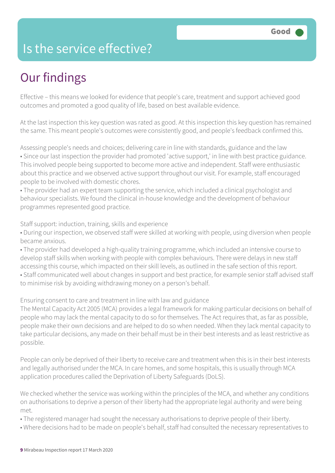### Is the service effective?

### Our findings

Effective – this means we looked for evidence that people's care, treatment and support achieved good outcomes and promoted a good quality of life, based on best available evidence.

At the last inspection this key question was rated as good. At this inspection this key question has remained the same. This meant people's outcomes were consistently good, and people's feedback confirmed this.

Assessing people's needs and choices; delivering care in line with standards, guidance and the law • Since our last inspection the provider had promoted 'active support,' in line with best practice guidance. This involved people being supported to become more active and independent. Staff were enthusiastic about this practice and we observed active support throughout our visit. For example, staff encouraged people to be involved with domestic chores.

• The provider had an expert team supporting the service, which included a clinical psychologist and behaviour specialists. We found the clinical in-house knowledge and the development of behaviour programmes represented good practice.

Staff support: induction, training, skills and experience

• During our inspection, we observed staff were skilled at working with people, using diversion when people became anxious.

• The provider had developed a high-quality training programme, which included an intensive course to develop staff skills when working with people with complex behaviours. There were delays in new staff accessing this course, which impacted on their skill levels, as outlined in the safe section of this report. • Staff communicated well about changes in support and best practice, for example senior staff advised staff to minimise risk by avoiding withdrawing money on a person's behalf.

Ensuring consent to care and treatment in line with law and guidance

The Mental Capacity Act 2005 (MCA) provides a legal framework for making particular decisions on behalf of people who may lack the mental capacity to do so for themselves. The Act requires that, as far as possible, people make their own decisions and are helped to do so when needed. When they lack mental capacity to take particular decisions, any made on their behalf must be in their best interests and as least restrictive as possible.

People can only be deprived of their liberty to receive care and treatment when this is in their best interests and legally authorised under the MCA. In care homes, and some hospitals, this is usually through MCA application procedures called the Deprivation of Liberty Safeguards (DoLS).

We checked whether the service was working within the principles of the MCA, and whether any conditions on authorisations to deprive a person of their liberty had the appropriate legal authority and were being met.

• The registered manager had sought the necessary authorisations to deprive people of their liberty.

• Where decisions had to be made on people's behalf, staff had consulted the necessary representatives to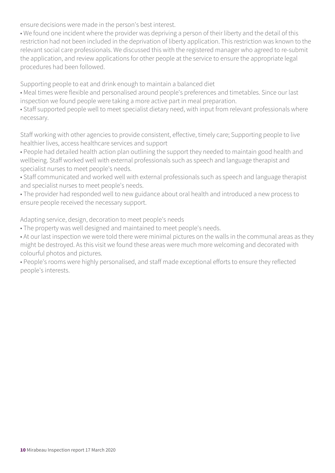ensure decisions were made in the person's best interest.

• We found one incident where the provider was depriving a person of their liberty and the detail of this restriction had not been included in the deprivation of liberty application. This restriction was known to the relevant social care professionals. We discussed this with the registered manager who agreed to re-submit the application, and review applications for other people at the service to ensure the appropriate legal procedures had been followed.

Supporting people to eat and drink enough to maintain a balanced diet

• Meal times were flexible and personalised around people's preferences and timetables. Since our last inspection we found people were taking a more active part in meal preparation.

• Staff supported people well to meet specialist dietary need, with input from relevant professionals where necessary.

Staff working with other agencies to provide consistent, effective, timely care; Supporting people to live healthier lives, access healthcare services and support

• People had detailed health action plan outlining the support they needed to maintain good health and wellbeing. Staff worked well with external professionals such as speech and language therapist and specialist nurses to meet people's needs.

• Staff communicated and worked well with external professionals such as speech and language therapist and specialist nurses to meet people's needs.

• The provider had responded well to new guidance about oral health and introduced a new process to ensure people received the necessary support.

Adapting service, design, decoration to meet people's needs

• The property was well designed and maintained to meet people's needs.

• At our last inspection we were told there were minimal pictures on the walls in the communal areas as they might be destroyed. As this visit we found these areas were much more welcoming and decorated with colourful photos and pictures.

• People's rooms were highly personalised, and staff made exceptional efforts to ensure they reflected people's interests.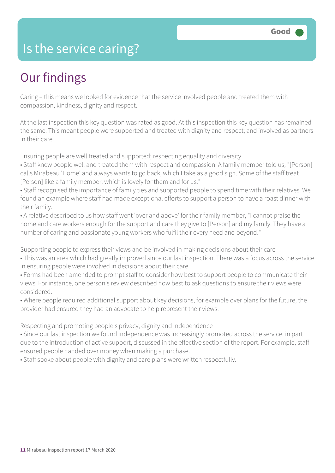### Is the service caring?

### Our findings

Caring – this means we looked for evidence that the service involved people and treated them with compassion, kindness, dignity and respect.

At the last inspection this key question was rated as good. At this inspection this key question has remained the same. This meant people were supported and treated with dignity and respect; and involved as partners in their care.

Ensuring people are well treated and supported; respecting equality and diversity

• Staff knew people well and treated them with respect and compassion. A family member told us, "[Person] calls Mirabeau 'Home' and always wants to go back, which I take as a good sign. Some of the staff treat [Person] like a family member, which is lovely for them and for us."

• Staff recognised the importance of family ties and supported people to spend time with their relatives. We found an example where staff had made exceptional efforts to support a person to have a roast dinner with their family.

• A relative described to us how staff went 'over and above' for their family member, "I cannot praise the home and care workers enough for the support and care they give to [Person] and my family. They have a number of caring and passionate young workers who fulfil their every need and beyond."

Supporting people to express their views and be involved in making decisions about their care

• This was an area which had greatly improved since our last inspection. There was a focus across the service in ensuring people were involved in decisions about their care.

• Forms had been amended to prompt staff to consider how best to support people to communicate their views. For instance, one person's review described how best to ask questions to ensure their views were considered.

• Where people required additional support about key decisions, for example over plans for the future, the provider had ensured they had an advocate to help represent their views.

Respecting and promoting people's privacy, dignity and independence

• Since our last inspection we found independence was increasingly promoted across the service, in part due to the introduction of active support, discussed in the effective section of the report. For example, staff ensured people handed over money when making a purchase.

• Staff spoke about people with dignity and care plans were written respectfully.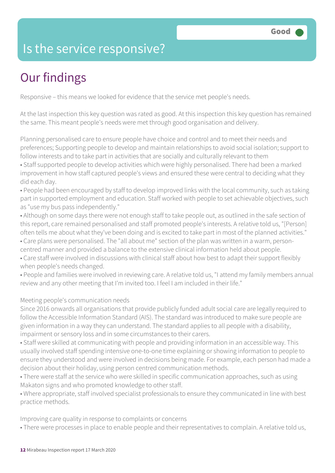### Is the service responsive?

### Our findings

Responsive – this means we looked for evidence that the service met people's needs.

At the last inspection this key question was rated as good. At this inspection this key question has remained the same. This meant people's needs were met through good organisation and delivery.

Planning personalised care to ensure people have choice and control and to meet their needs and preferences; Supporting people to develop and maintain relationships to avoid social isolation; support to follow interests and to take part in activities that are socially and culturally relevant to them

• Staff supported people to develop activities which were highly personalised. There had been a marked improvement in how staff captured people's views and ensured these were central to deciding what they did each day.

• People had been encouraged by staff to develop improved links with the local community, such as taking part in supported employment and education. Staff worked with people to set achievable objectives, such as "use my bus pass independently."

• Although on some days there were not enough staff to take people out, as outlined in the safe section of this report, care remained personalised and staff promoted people's interests. A relative told us, "[Person] often tells me about what they've been doing and is excited to take part in most of the planned activities."

• Care plans were personalised. The "all about me" section of the plan was written in a warm, person-

centred manner and provided a balance to the extensive clinical information held about people.

• Care staff were involved in discussions with clinical staff about how best to adapt their support flexibly when people's needs changed.

• People and families were involved in reviewing care. A relative told us, "I attend my family members annual review and any other meeting that I'm invited too. I feel I am included in their life."

#### Meeting people's communication needs

Since 2016 onwards all organisations that provide publicly funded adult social care are legally required to follow the Accessible Information Standard (AIS). The standard was introduced to make sure people are given information in a way they can understand. The standard applies to all people with a disability, impairment or sensory loss and in some circumstances to their carers.

• Staff were skilled at communicating with people and providing information in an accessible way. This usually involved staff spending intensive one-to-one time explaining or showing information to people to ensure they understood and were involved in decisions being made. For example, each person had made a decision about their holiday, using person centred communication methods.

• There were staff at the service who were skilled in specific communication approaches, such as using Makaton signs and who promoted knowledge to other staff.

• Where appropriate, staff involved specialist professionals to ensure they communicated in line with best practice methods.

Improving care quality in response to complaints or concerns

• There were processes in place to enable people and their representatives to complain. A relative told us,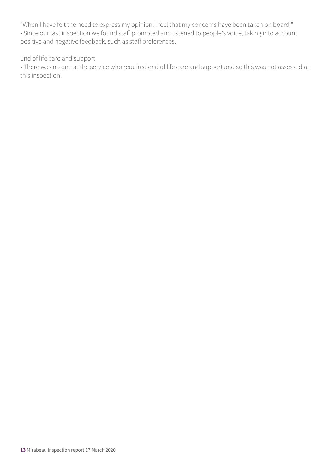"When I have felt the need to express my opinion, I feel that my concerns have been taken on board."

• Since our last inspection we found staff promoted and listened to people's voice, taking into account positive and negative feedback, such as staff preferences.

#### End of life care and support

• There was no one at the service who required end of life care and support and so this was not assessed at this inspection.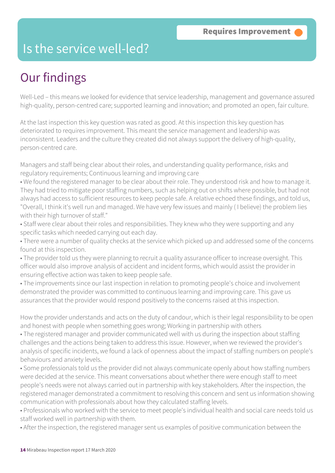### Is the service well-led?

### Our findings

Well-Led – this means we looked for evidence that service leadership, management and governance assured high-quality, person-centred care; supported learning and innovation; and promoted an open, fair culture.

At the last inspection this key question was rated as good. At this inspection this key question has deteriorated to requires improvement. This meant the service management and leadership was inconsistent. Leaders and the culture they created did not always support the delivery of high-quality, person-centred care.

Managers and staff being clear about their roles, and understanding quality performance, risks and regulatory requirements; Continuous learning and improving care

• We found the registered manager to be clear about their role. They understood risk and how to manage it. They had tried to mitigate poor staffing numbers, such as helping out on shifts where possible, but had not always had access to sufficient resources to keep people safe. A relative echoed these findings, and told us, "Overall, I think it's well run and managed. We have very few issues and mainly ( I believe) the problem lies with their high turnover of staff."

• Staff were clear about their roles and responsibilities. They knew who they were supporting and any specific tasks which needed carrying out each day.

• There were a number of quality checks at the service which picked up and addressed some of the concerns found at this inspection.

• The provider told us they were planning to recruit a quality assurance officer to increase oversight. This officer would also improve analysis of accident and incident forms, which would assist the provider in ensuring effective action was taken to keep people safe.

• The improvements since our last inspection in relation to promoting people's choice and involvement demonstrated the provider was committed to continuous learning and improving care. This gave us assurances that the provider would respond positively to the concerns raised at this inspection.

How the provider understands and acts on the duty of candour, which is their legal responsibility to be open and honest with people when something goes wrong; Working in partnership with others

• The registered manager and provider communicated well with us during the inspection about staffing challenges and the actions being taken to address this issue. However, when we reviewed the provider's analysis of specific incidents, we found a lack of openness about the impact of staffing numbers on people's behaviours and anxiety levels.

• Some professionals told us the provider did not always communicate openly about how staffing numbers were decided at the service. This meant conversations about whether there were enough staff to meet people's needs were not always carried out in partnership with key stakeholders. After the inspection, the registered manager demonstrated a commitment to resolving this concern and sent us information showing communication with professionals about how they calculated staffing levels.

• Professionals who worked with the service to meet people's individual health and social care needs told us staff worked well in partnership with them.

• After the inspection, the registered manager sent us examples of positive communication between the